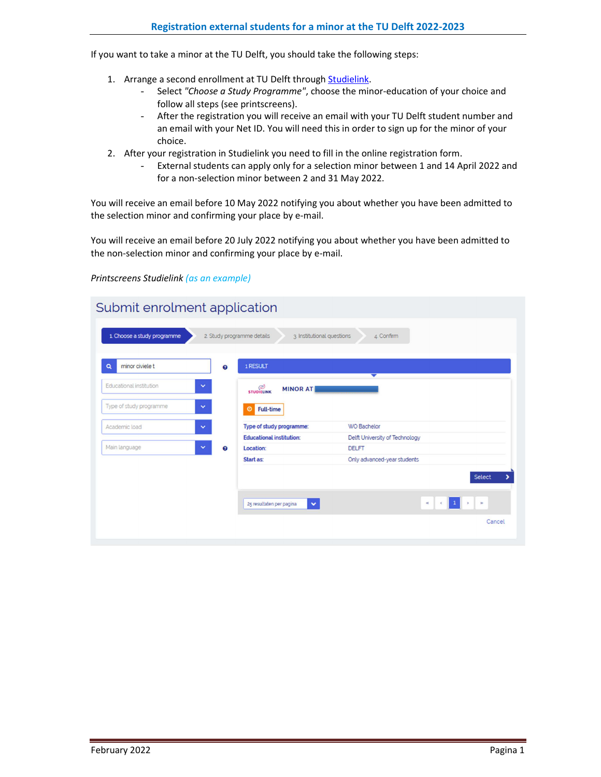If you want to take a minor at the TU Delft, you should take the following steps:

- 1. Arrange a second enrollment at TU Delft through **Studielink**.
	- Select *"Choose a Study Programme"*, choose the minor-education of your choice and follow all steps (see printscreens).
	- After the registration you will receive an email with your TU Delft student number and an email with your Net ID. You will need this in order to sign up for the minor of your choice.
- 2. After your registration in Studielink you need to fill in the online registration form.
	- External students can apply only for a selection minor between 1 and 14 April 2022 and for a non-selection minor between 2 and 31 May 2022.

You will receive an email before 10 May 2022 notifying you about whether you have been admitted to the selection minor and confirming your place by e-mail.

You will receive an email before 20 July 2022 notifying you about whether you have been admitted to the non-selection minor and confirming your place by e-mail.

## *Printscreens Studielink (as an example)*

|                         |              |                       | 1 RESULT                             | ▼                              |        |
|-------------------------|--------------|-----------------------|--------------------------------------|--------------------------------|--------|
| Educational institution | ×            |                       | <b>STUDIELINK</b><br><b>MINOR AT</b> |                                |        |
| Type of study programme | $\checkmark$ |                       | Full-time<br>$\bullet$               |                                |        |
| Academic load           | $\checkmark$ |                       | Type of study programme:             | <b>WO Bachelor</b>             |        |
|                         |              |                       | <b>Educational institution:</b>      | Delft University of Technology |        |
| Main language           | $\checkmark$ | $\boldsymbol{\Theta}$ | Location:                            | <b>DELFT</b>                   |        |
|                         |              |                       | <b>Start as:</b>                     | Only advanced-year students    |        |
|                         |              |                       |                                      |                                | Select |
|                         |              |                       |                                      |                                |        |